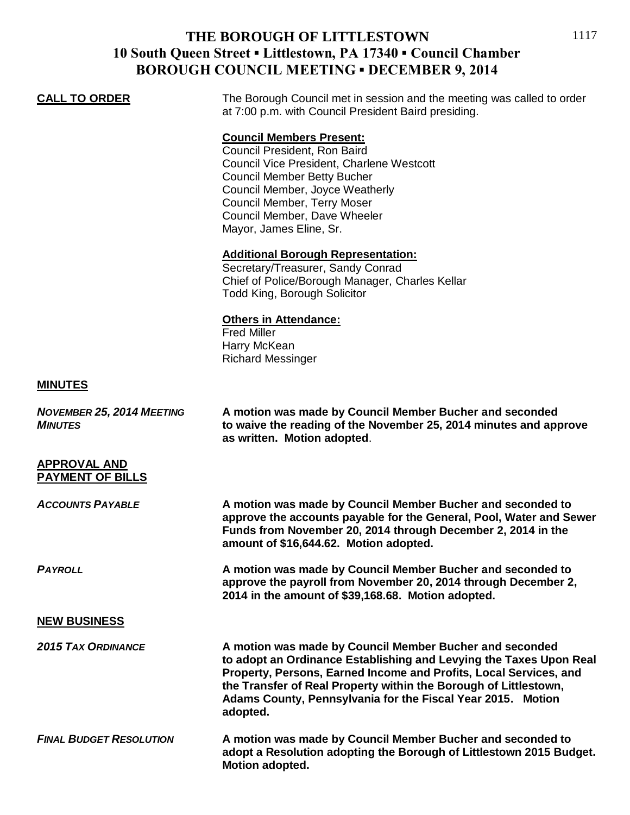## **THE BOROUGH OF LITTLESTOWN 10 South Queen Street ▪ Littlestown, PA 17340 ▪ Council Chamber BOROUGH COUNCIL MEETING ▪ DECEMBER 9, 2014**

# **CALL TO ORDER** The Borough Council met in session and the meeting was called to order at 7:00 p.m. with Council President Baird presiding. **Council Members Present:** Council President, Ron Baird Council Vice President, Charlene Westcott Council Member Betty Bucher

Council Member, Joyce Weatherly Council Member, Terry Moser Council Member, Dave Wheeler Mayor, James Eline, Sr.

### **Additional Borough Representation:**

Secretary/Treasurer, Sandy Conrad Chief of Police/Borough Manager, Charles Kellar Todd King, Borough Solicitor

#### **Others in Attendance:**

Fred Miller Harry McKean Richard Messinger

#### **MINUTES**

| <b>NOVEMBER 25, 2014 MEETING</b><br><b>MINUTES</b> | A motion was made by Council Member Bucher and seconded<br>to waive the reading of the November 25, 2014 minutes and approve<br>as written. Motion adopted.                                                                                                                                                                                       |
|----------------------------------------------------|---------------------------------------------------------------------------------------------------------------------------------------------------------------------------------------------------------------------------------------------------------------------------------------------------------------------------------------------------|
| <b>APPROVAL AND</b><br><b>PAYMENT OF BILLS</b>     |                                                                                                                                                                                                                                                                                                                                                   |
| <b>ACCOUNTS PAYABLE</b>                            | A motion was made by Council Member Bucher and seconded to<br>approve the accounts payable for the General, Pool, Water and Sewer<br>Funds from November 20, 2014 through December 2, 2014 in the<br>amount of \$16,644.62. Motion adopted.                                                                                                       |
| <b>PAYROLL</b>                                     | A motion was made by Council Member Bucher and seconded to<br>approve the payroll from November 20, 2014 through December 2,<br>2014 in the amount of \$39,168.68. Motion adopted.                                                                                                                                                                |
| <b>NEW BUSINESS</b>                                |                                                                                                                                                                                                                                                                                                                                                   |
| <b>2015 TAX ORDINANCE</b>                          | A motion was made by Council Member Bucher and seconded<br>to adopt an Ordinance Establishing and Levying the Taxes Upon Real<br>Property, Persons, Earned Income and Profits, Local Services, and<br>the Transfer of Real Property within the Borough of Littlestown,<br>Adams County, Pennsylvania for the Fiscal Year 2015. Motion<br>adopted. |
| <b>FINAL BUDGET RESOLUTION</b>                     | A motion was made by Council Member Bucher and seconded to<br>adopt a Resolution adopting the Borough of Littlestown 2015 Budget.<br>Motion adopted.                                                                                                                                                                                              |